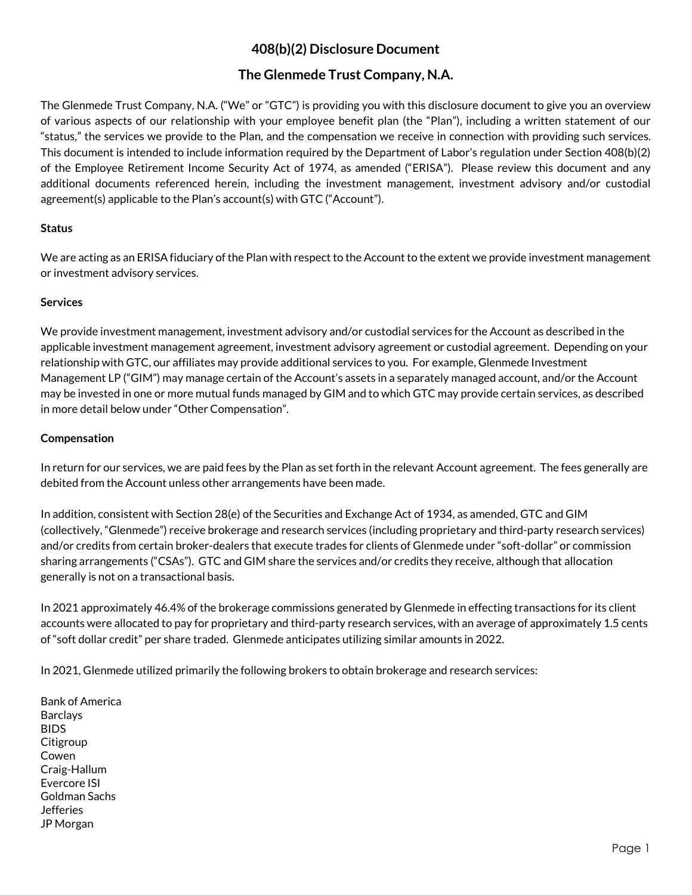# **408(b)(2) Disclosure Document**

## **The Glenmede Trust Company, N.A.**

The Glenmede Trust Company, N.A. ("We" or "GTC") is providing you with this disclosure document to give you an overview of various aspects of our relationship with your employee benefit plan (the "Plan"), including a written statement of our "status," the services we provide to the Plan, and the compensation we receive in connection with providing such services. This document is intended to include information required by the Department of Labor's regulation under Section 408(b)(2) of the Employee Retirement Income Security Act of 1974, as amended ("ERISA"). Please review this document and any additional documents referenced herein, including the investment management, investment advisory and/or custodial agreement(s) applicable to the Plan's account(s) with GTC ("Account").

### **Status**

We are acting as an ERISA fiduciary ofthe Plan with respect to the Account to the extent we provide investment management or investment advisory services.

### **Services**

We provide investment management, investment advisory and/or custodial services for the Account as described in the applicable investment management agreement, investment advisory agreement or custodial agreement. Depending on your relationship with GTC, our affiliates may provide additional services to you. For example, Glenmede Investment Management LP ("GIM") may manage certain of the Account's assets in a separately managed account, and/or the Account may be invested in one or more mutual funds managed by GIM and to which GTC may provide certain services, as described in more detail below under "Other Compensation".

## **Compensation**

In return for our services, we are paid fees by the Plan as set forth in the relevant Account agreement. The fees generally are debited from the Account unless other arrangements have been made.

In addition, consistent with Section 28(e) of the Securities and Exchange Act of 1934, as amended, GTC and GIM (collectively, "Glenmede") receive brokerage and research services (including proprietary and third-party research services) and/or credits from certain broker-dealers that execute trades for clients of Glenmede under "soft-dollar" or commission sharing arrangements ("CSAs"). GTC and GIM share the services and/or credits they receive, although that allocation generally is not on a transactional basis.

In 2021 approximately 46.4% of the brokerage commissions generated by Glenmede in effecting transactions for its client accounts were allocated to pay for proprietary and third-party research services, with an average of approximately 1.5 cents of "soft dollar credit" per share traded. Glenmede anticipates utilizing similar amounts in 2022.

In 2021, Glenmede utilized primarily the following brokers to obtain brokerage and research services:

Bank of America Barclays BIDS Citigroup Cowen Craig-Hallum Evercore ISI Goldman Sachs **Jefferies** JP Morgan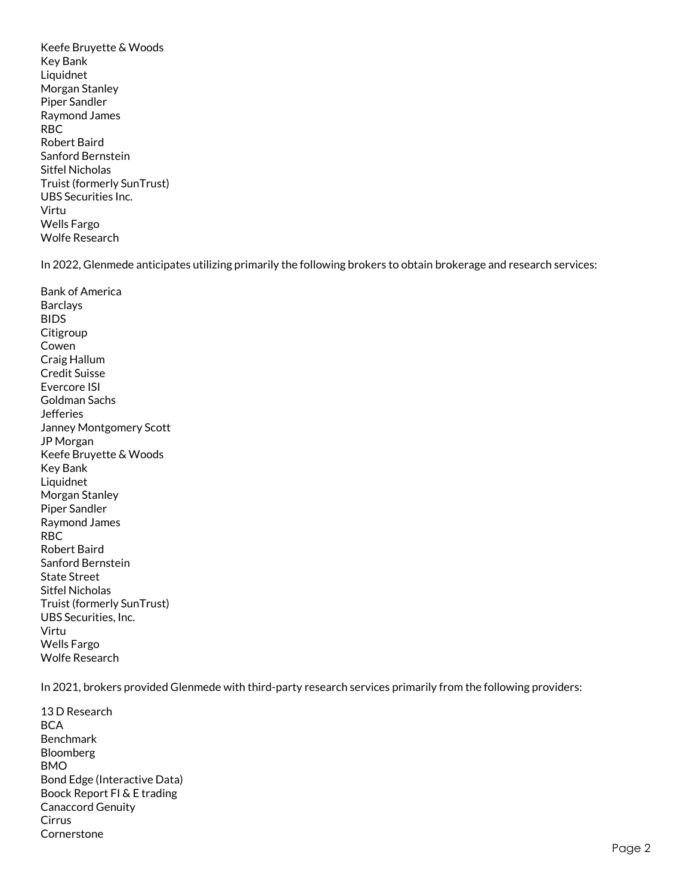Keefe Bruyette & Woods Key Bank Liquidnet Morgan Stanley Piper Sandler Raymond James RBC Robert Baird Sanford Bernstein Sitfel Nicholas Truist (formerly SunTrust) UBS Securities Inc. Virtu Wells Fargo Wolfe Research

In 2022, Glenmede anticipates utilizing primarily the following brokers to obtain brokerage and research services:

Bank of America Barclays BIDS **Citigroup** Cowen Craig Hallum Credit Suisse Evercore ISI Goldman Sachs Jefferies Janney Montgomery Scott JP Morgan Keefe Bruyette & Woods Key Bank Liquidnet Morgan Stanley Piper Sandler Raymond James RBC Robert Baird Sanford Bernstein State Street Sitfel Nicholas Truist (formerly SunTrust) UBS Securities, Inc. Virtu Wells Fargo Wolfe Research

In 2021, brokers provided Glenmede with third-party research services primarily from the following providers:

13 D Research BCA Benchmark Bloomberg BMO Bond Edge (Interactive Data) Boock Report FI & E trading Canaccord Genuity Cirrus Cornerstone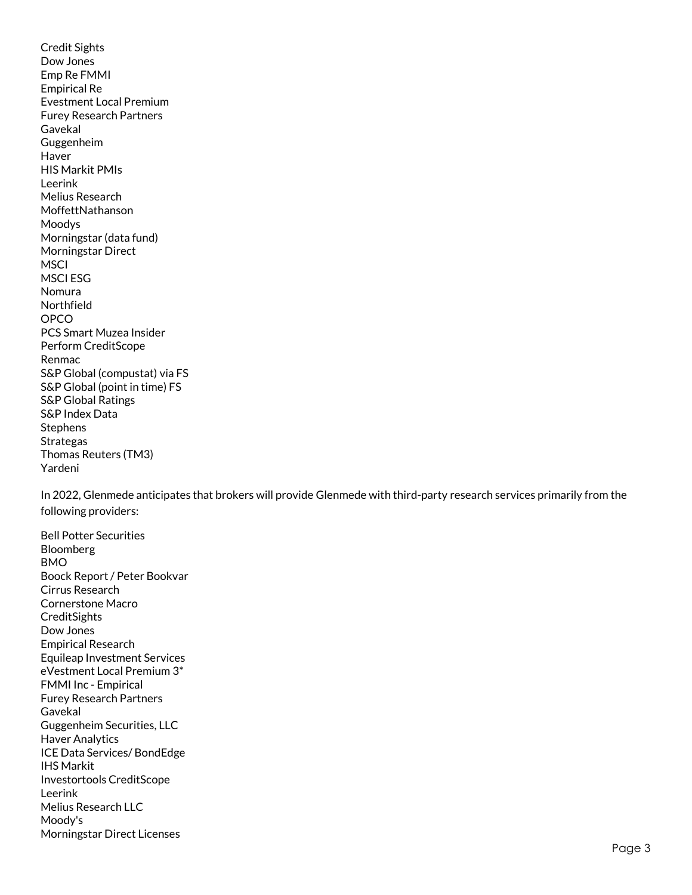Credit Sights Dow Jones Emp Re FMMI Empirical Re Evestment Local Premium Furey Research Partners Gavekal Guggenheim Haver HIS Markit PMIs Leerink Melius Research MoffettNathanson Moodys Morningstar (data fund) Morningstar Direct **MSCI** MSCI ESG Nomura Northfield OPCO PCS Smart Muzea Insider Perform CreditScope Renmac S&P Global (compustat) via FS S&P Global (point in time) FS S&P Global Ratings S&P Index Data Stephens Strategas Thomas Reuters (TM3) Yardeni

In 2022, Glenmede anticipates that brokers will provide Glenmede with third-party research services primarily from the following providers:

Bell Potter Securities Bloomberg BMO Boock Report / Peter Bookvar Cirrus Research Cornerstone Macro **CreditSights** Dow Jones Empirical Research Equileap Investment Services eVestment Local Premium 3\* FMMI Inc - Empirical Furey Research Partners Gavekal Guggenheim Securities, LLC Haver Analytics ICE Data Services/ BondEdge IHS Markit Investortools CreditScope Leerink Melius Research LLC Moody's Morningstar Direct Licenses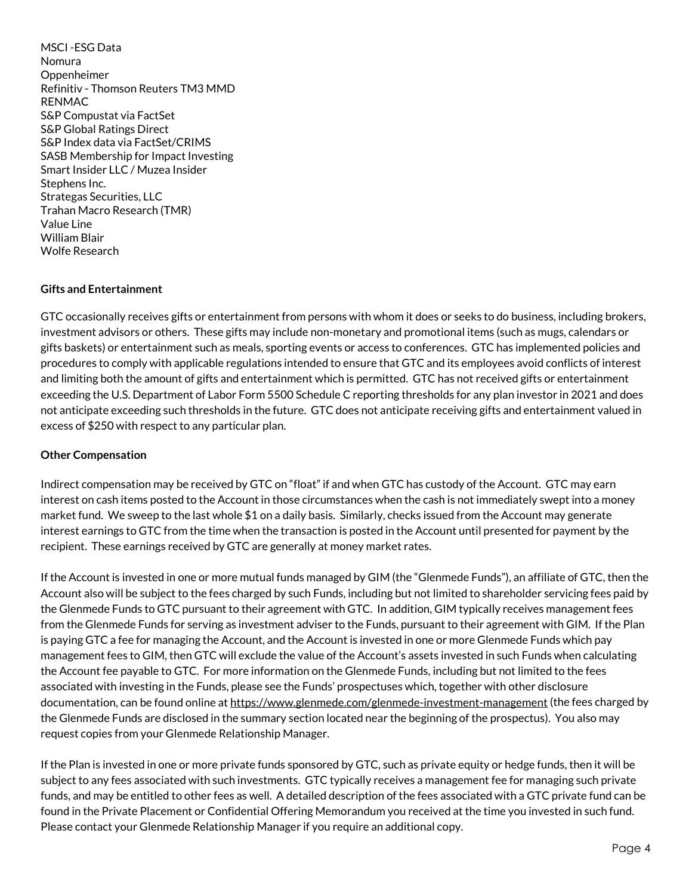MSCI -ESG Data Nomura Oppenheimer Refinitiv - Thomson Reuters TM3 MMD RENMAC S&P Compustat via FactSet S&P Global Ratings Direct S&P Index data via FactSet/CRIMS SASB Membership for Impact Investing Smart Insider LLC / Muzea Insider Stephens Inc. Strategas Securities, LLC Trahan Macro Research (TMR) Value Line William Blair Wolfe Research

### **Gifts and Entertainment**

GTC occasionally receives gifts or entertainment from persons with whom it does or seeks to do business, including brokers, investment advisors or others. These gifts may include non-monetary and promotional items (such as mugs, calendars or gifts baskets) or entertainment such as meals, sporting events or access to conferences. GTC has implemented policies and procedures to comply with applicable regulations intended to ensure that GTC and its employees avoid conflicts of interest and limiting both the amount of gifts and entertainment which is permitted. GTC has not received gifts or entertainment exceeding the U.S. Department of Labor Form 5500 Schedule C reporting thresholds for any plan investor in 2021 and does not anticipate exceeding such thresholds in the future. GTC does not anticipate receiving gifts and entertainment valued in excess of \$250 with respect to any particular plan.

### **Other Compensation**

Indirect compensation may be received by GTC on "float" if and when GTC has custody of the Account. GTC may earn interest on cash items posted to the Account in those circumstances when the cash is not immediately swept into a money market fund. We sweep to the last whole \$1 on a daily basis. Similarly, checks issued from the Account may generate interest earnings to GTC from the time when the transaction is posted in the Account until presented for payment by the recipient. These earnings received by GTC are generally at money market rates.

If the Account is invested in one or more mutual funds managed by GIM (the "Glenmede Funds"), an affiliate of GTC, then the Account also will be subject to the fees charged by such Funds, including but not limited to shareholder servicing fees paid by the Glenmede Funds to GTC pursuant to their agreement with GTC. In addition, GIM typically receives management fees from the Glenmede Funds for serving as investment adviser to the Funds, pursuant to their agreement with GIM. If the Plan is paying GTC a fee for managing the Account, and the Account is invested in one or more Glenmede Funds which pay management fees to GIM, then GTC will exclude the value of the Account's assets invested in such Funds when calculating the Account fee payable to GTC. For more information on the Glenmede Funds, including but not limited to the fees associated with investing in the Funds, please see the Funds' prospectuses which, together with other disclosure documentation, can be found online at<https://www.glenmede.com/glenmede-investment-management> (the fees charged by the Glenmede Funds are disclosed in the summary section located near the beginning of the prospectus). You also may request copies from your Glenmede Relationship Manager.

If the Plan is invested in one or more private funds sponsored by GTC, such as private equity or hedge funds, then it will be subject to any fees associated with such investments. GTC typically receives a management fee for managing such private funds, and may be entitled to other fees as well. A detailed description of the fees associated with a GTC private fund can be found in the Private Placement or Confidential Offering Memorandum you received at the time you invested in such fund. Please contact your Glenmede Relationship Manager if you require an additional copy.